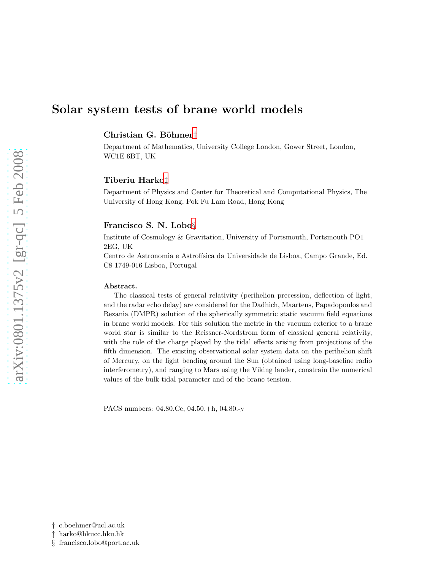# Solar system tests of brane world models

Christian G. Böhmer<sup>[†](#page-0-0)</sup>

Department of Mathematics, University College London, Gower Street, London, WC1E 6BT, UK

# Tiberiu Harko[‡](#page-0-1)

Department of Physics and Center for Theoretical and Computational Physics, The University of Hong Kong, Pok Fu Lam Road, Hong Kong

# Francisco S. N. Lobo[§](#page-0-2)

Institute of Cosmology & Gravitation, University of Portsmouth, Portsmouth PO1 2EG, UK

Centro de Astronomia e Astrofísica da Universidade de Lisboa, Campo Grande, Ed. C8 1749-016 Lisboa, Portugal

#### Abstract.

The classical tests of general relativity (perihelion precession, deflection of light, and the radar echo delay) are considered for the Dadhich, Maartens, Papadopoulos and Rezania (DMPR) solution of the spherically symmetric static vacuum field equations in brane world models. For this solution the metric in the vacuum exterior to a brane world star is similar to the Reissner-Nordstrom form of classical general relativity, with the role of the charge played by the tidal effects arising from projections of the fifth dimension. The existing observational solar system data on the perihelion shift of Mercury, on the light bending around the Sun (obtained using long-baseline radio interferometry), and ranging to Mars using the Viking lander, constrain the numerical values of the bulk tidal parameter and of the brane tension.

PACS numbers: 04.80.Cc, 04.50.+h, 04.80.-y

<sup>†</sup> c.boehmer@ucl.ac.uk

<span id="page-0-0"></span><sup>‡</sup> harko@hkucc.hku.hk

<span id="page-0-2"></span><span id="page-0-1"></span><sup>§</sup> francisco.lobo@port.ac.uk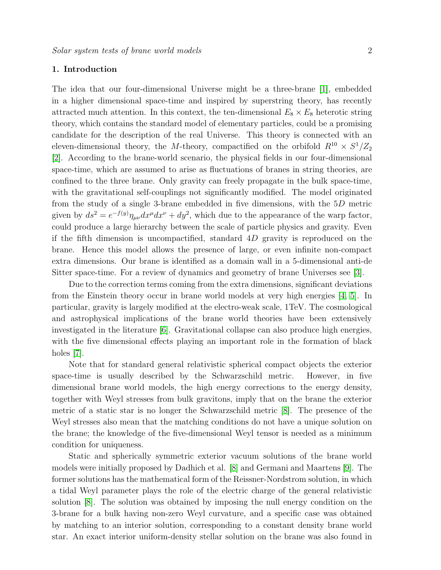# 1. Introduction

The idea that our four-dimensional Universe might be a three-brane [\[1\]](#page-12-0), embedded in a higher dimensional space-time and inspired by superstring theory, has recently attracted much attention. In this context, the ten-dimensional  $E_8 \times E_8$  heterotic string theory, which contains the standard model of elementary particles, could be a promising candidate for the description of the real Universe. This theory is connected with an eleven-dimensional theory, the *M*-theory, compactified on the orbifold  $R^{10} \times S^1/Z_2$ [\[2\]](#page-12-1). According to the brane-world scenario, the physical fields in our four-dimensional space-time, which are assumed to arise as fluctuations of branes in string theories, are confined to the three brane. Only gravity can freely propagate in the bulk space-time, with the gravitational self-couplings not significantly modified. The model originated from the study of a single 3-brane embedded in five dimensions, with the 5D metric given by  $ds^2 = e^{-f(y)} \eta_{\mu\nu} dx^{\mu} dx^{\nu} + dy^2$ , which due to the appearance of the warp factor, could produce a large hierarchy between the scale of particle physics and gravity. Even if the fifth dimension is uncompactified, standard 4D gravity is reproduced on the brane. Hence this model allows the presence of large, or even infinite non-compact extra dimensions. Our brane is identified as a domain wall in a 5-dimensional anti-de Sitter space-time. For a review of dynamics and geometry of brane Universes see [\[3\]](#page-12-2).

Due to the correction terms coming from the extra dimensions, significant deviations from the Einstein theory occur in brane world models at very high energies [\[4,](#page-12-3) [5\]](#page-12-4). In particular, gravity is largely modified at the electro-weak scale, 1TeV. The cosmological and astrophysical implications of the brane world theories have been extensively investigated in the literature [\[6\]](#page-12-5). Gravitational collapse can also produce high energies, with the five dimensional effects playing an important role in the formation of black holes [\[7\]](#page-12-6).

Note that for standard general relativistic spherical compact objects the exterior space-time is usually described by the Schwarzschild metric. However, in five dimensional brane world models, the high energy corrections to the energy density, together with Weyl stresses from bulk gravitons, imply that on the brane the exterior metric of a static star is no longer the Schwarzschild metric [\[8\]](#page-12-7). The presence of the Weyl stresses also mean that the matching conditions do not have a unique solution on the brane; the knowledge of the five-dimensional Weyl tensor is needed as a minimum condition for uniqueness.

Static and spherically symmetric exterior vacuum solutions of the brane world models were initially proposed by Dadhich et al. [\[8\]](#page-12-7) and Germani and Maartens [\[9\]](#page-12-8). The former solutions has the mathematical form of the Reissner-Nordstrom solution, in which a tidal Weyl parameter plays the role of the electric charge of the general relativistic solution [\[8\]](#page-12-7). The solution was obtained by imposing the null energy condition on the 3-brane for a bulk having non-zero Weyl curvature, and a specific case was obtained by matching to an interior solution, corresponding to a constant density brane world star. An exact interior uniform-density stellar solution on the brane was also found in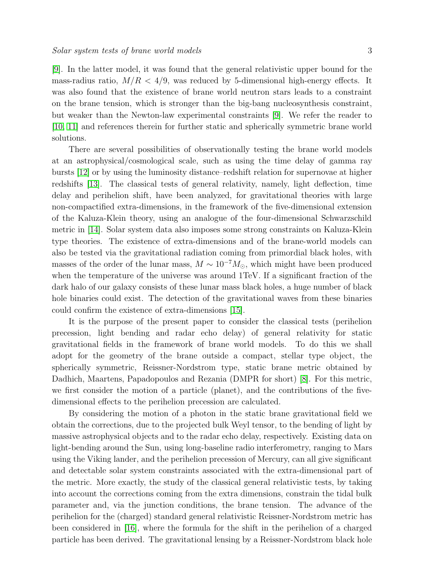[\[9\]](#page-12-8). In the latter model, it was found that the general relativistic upper bound for the mass-radius ratio,  $M/R < 4/9$ , was reduced by 5-dimensional high-energy effects. It was also found that the existence of brane world neutron stars leads to a constraint on the brane tension, which is stronger than the big-bang nucleosynthesis constraint, but weaker than the Newton-law experimental constraints [\[9\]](#page-12-8). We refer the reader to [\[10,](#page-12-9) [11\]](#page-13-0) and references therein for further static and spherically symmetric brane world solutions.

There are several possibilities of observationally testing the brane world models at an astrophysical/cosmological scale, such as using the time delay of gamma ray bursts [\[12\]](#page-13-1) or by using the luminosity distance–redshift relation for supernovae at higher redshifts [\[13\]](#page-13-2). The classical tests of general relativity, namely, light deflection, time delay and perihelion shift, have been analyzed, for gravitational theories with large non-compactified extra-dimensions, in the framework of the five-dimensional extension of the Kaluza-Klein theory, using an analogue of the four-dimensional Schwarzschild metric in [\[14\]](#page-13-3). Solar system data also imposes some strong constraints on Kaluza-Klein type theories. The existence of extra-dimensions and of the brane-world models can also be tested via the gravitational radiation coming from primordial black holes, with masses of the order of the lunar mass,  $M \sim 10^{-7} M_{\odot}$ , which might have been produced when the temperature of the universe was around 1TeV. If a significant fraction of the dark halo of our galaxy consists of these lunar mass black holes, a huge number of black hole binaries could exist. The detection of the gravitational waves from these binaries could confirm the existence of extra-dimensions [\[15\]](#page-13-4).

It is the purpose of the present paper to consider the classical tests (perihelion precession, light bending and radar echo delay) of general relativity for static gravitational fields in the framework of brane world models. To do this we shall adopt for the geometry of the brane outside a compact, stellar type object, the spherically symmetric, Reissner-Nordstrom type, static brane metric obtained by Dadhich, Maartens, Papadopoulos and Rezania (DMPR for short) [\[8\]](#page-12-7). For this metric, we first consider the motion of a particle (planet), and the contributions of the fivedimensional effects to the perihelion precession are calculated.

By considering the motion of a photon in the static brane gravitational field we obtain the corrections, due to the projected bulk Weyl tensor, to the bending of light by massive astrophysical objects and to the radar echo delay, respectively. Existing data on light-bending around the Sun, using long-baseline radio interferometry, ranging to Mars using the Viking lander, and the perihelion precession of Mercury, can all give significant and detectable solar system constraints associated with the extra-dimensional part of the metric. More exactly, the study of the classical general relativistic tests, by taking into account the corrections coming from the extra dimensions, constrain the tidal bulk parameter and, via the junction conditions, the brane tension. The advance of the perihelion for the (charged) standard general relativistic Reissner-Nordstrom metric has been considered in [\[16\]](#page-13-5), where the formula for the shift in the perihelion of a charged particle has been derived. The gravitational lensing by a Reissner-Nordstrom black hole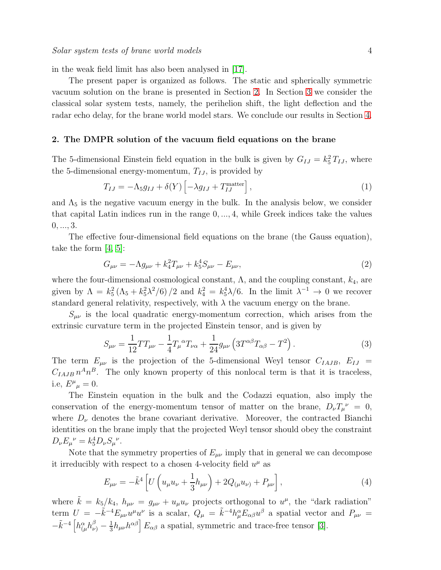in the weak field limit has also been analysed in [\[17\]](#page-13-6).

The present paper is organized as follows. The static and spherically symmetric vacuum solution on the brane is presented in Section [2.](#page-3-0) In Section [3](#page-4-0) we consider the classical solar system tests, namely, the perihelion shift, the light deflection and the radar echo delay, for the brane world model stars. We conclude our results in Section [4.](#page-10-0)

#### <span id="page-3-0"></span>2. The DMPR solution of the vacuum field equations on the brane

The 5-dimensional Einstein field equation in the bulk is given by  $G_{IJ} = k_5^2 T_{IJ}$ , where the 5-dimensional energy-momentum,  $T_{IJ}$ , is provided by

$$
T_{IJ} = -\Lambda_5 g_{IJ} + \delta(Y) \left[ -\lambda g_{IJ} + T_{IJ}^{\text{matter}} \right],\tag{1}
$$

and  $\Lambda_5$  is the negative vacuum energy in the bulk. In the analysis below, we consider that capital Latin indices run in the range  $0, \ldots, 4$ , while Greek indices take the values  $0, ..., 3.$ 

The effective four-dimensional field equations on the brane (the Gauss equation), take the form [\[4,](#page-12-3) [5\]](#page-12-4):

$$
G_{\mu\nu} = -\Lambda g_{\mu\nu} + k_4^2 T_{\mu\nu} + k_5^4 S_{\mu\nu} - E_{\mu\nu},\tag{2}
$$

where the four-dimensional cosmological constant,  $\Lambda$ , and the coupling constant,  $k_4$ , are given by  $\Lambda = k_5^2 (\Lambda_5 + k_5^2 \lambda^2/6)/2$  and  $k_4^2 = k_5^4 \lambda/6$ . In the limit  $\lambda^{-1} \to 0$  we recover standard general relativity, respectively, with  $\lambda$  the vacuum energy on the brane.

 $S_{\mu\nu}$  is the local quadratic energy-momentum correction, which arises from the extrinsic curvature term in the projected Einstein tensor, and is given by

$$
S_{\mu\nu} = \frac{1}{12} T T_{\mu\nu} - \frac{1}{4} T_{\mu}{}^{\alpha} T_{\nu\alpha} + \frac{1}{24} g_{\mu\nu} \left( 3 T^{\alpha\beta} T_{\alpha\beta} - T^2 \right).
$$
 (3)

The term  $E_{\mu\nu}$  is the projection of the 5-dimensional Weyl tensor  $C_{IAJB}$ ,  $E_{IJ}$  =  $C_{IAJB} n^A n^B$ . The only known property of this nonlocal term is that it is traceless, i.e,  $E^{\mu}{}_{\mu}=0$ .

The Einstein equation in the bulk and the Codazzi equation, also imply the conservation of the energy-momentum tensor of matter on the brane,  $D_{\nu}T_{\mu}^{\nu} = 0$ , where  $D_{\nu}$  denotes the brane covariant derivative. Moreover, the contracted Bianchi identities on the brane imply that the projected Weyl tensor should obey the constraint  $D_{\nu}E_{\mu}{}^{\nu} = k_5^4 D_{\nu} S_{\mu}{}^{\nu}.$ 

Note that the symmetry properties of  $E_{\mu\nu}$  imply that in general we can decompose it irreducibly with respect to a chosen 4-velocity field  $u^{\mu}$  as

$$
E_{\mu\nu} = -\tilde{k}^4 \left[ U \left( u_{\mu} u_{\nu} + \frac{1}{3} h_{\mu\nu} \right) + 2Q_{(\mu} u_{\nu)} + P_{\mu\nu} \right],\tag{4}
$$

where  $\tilde{k} = k_5/k_4$ ,  $h_{\mu\nu} = g_{\mu\nu} + u_{\mu}u_{\nu}$  projects orthogonal to  $u^{\mu}$ , the "dark radiation" term  $U = -\tilde{k}^{-4}E_{\mu\nu}u^{\mu}u^{\nu}$  is a scalar,  $Q_{\mu} = \tilde{k}^{-4}h^{\alpha}_{\mu}E_{\alpha\beta}u^{\beta}$  a spatial vector and  $P_{\mu\nu} =$  $-\tilde{k}^{-4}\left[h^{\alpha}_{(\mu}h^{\beta}_{\nu)}-\frac{1}{3}\right]$  $\frac{1}{3}h_{\mu\nu}h^{\alpha\beta}$   $E_{\alpha\beta}$  a spatial, symmetric and trace-free tensor [\[3\]](#page-12-2).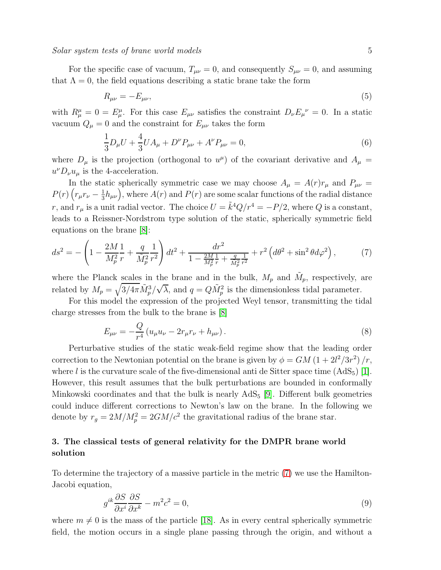For the specific case of vacuum,  $T_{\mu\nu} = 0$ , and consequently  $S_{\mu\nu} = 0$ , and assuming that  $\Lambda = 0$ , the field equations describing a static brane take the form

$$
R_{\mu\nu} = -E_{\mu\nu},\tag{5}
$$

with  $R^{\mu}_{\mu} = 0 = E^{\mu}_{\mu}$ . For this case  $E_{\mu\nu}$  satisfies the constraint  $D_{\nu}E_{\mu}^{\nu} = 0$ . In a static vacuum  $Q_{\mu} = 0$  and the constraint for  $E_{\mu\nu}$  takes the form

$$
\frac{1}{3}D_{\mu}U + \frac{4}{3}UA_{\mu} + D^{\nu}P_{\mu\nu} + A^{\nu}P_{\mu\nu} = 0,
$$
\n(6)

where  $D_{\mu}$  is the projection (orthogonal to  $u^{\mu}$ ) of the covariant derivative and  $A_{\mu}$  =  $u^{\nu}D_{\nu}u_{\mu}$  is the 4-acceleration.

In the static spherically symmetric case we may choose  $A_{\mu} = A(r)r_{\mu}$  and  $P_{\mu\nu} =$  $P(r)\left(r_\mu r_\nu-\frac{1}{3}\right)$  $\frac{1}{3}h_{\mu\nu}\Big)$ , where  $A(r)$  and  $P(r)$  are some scalar functions of the radial distance r, and  $r_{\mu}$  is a unit radial vector. The choice  $U = \tilde{k}^{4}Q/r^{4} = -P/2$ , where Q is a constant, leads to a Reissner-Nordstrom type solution of the static, spherically symmetric field equations on the brane [\[8\]](#page-12-7):

<span id="page-4-1"></span>
$$
ds^{2} = -\left(1 - \frac{2M}{M_{p}^{2}}\frac{1}{r} + \frac{q}{\tilde{M}_{p}^{2}}\frac{1}{r^{2}}\right)dt^{2} + \frac{dr^{2}}{1 - \frac{2M}{M_{p}^{2}}\frac{1}{r} + \frac{q}{\tilde{M}_{p}^{2}}\frac{1}{r^{2}}} + r^{2}\left(d\theta^{2} + \sin^{2}\theta d\varphi^{2}\right),\tag{7}
$$

where the Planck scales in the brane and in the bulk,  $M_p$  and  $\tilde{M}_p$ , respectively, are related by  $M_p = \sqrt{3/4\pi \tilde{M}_p^3/\sqrt{\lambda}}$ , and  $q = Q\tilde{M}_p^2$  is the dimensionless tidal parameter.

For this model the expression of the projected Weyl tensor, transmitting the tidal charge stresses from the bulk to the brane is [\[8\]](#page-12-7)

$$
E_{\mu\nu} = -\frac{Q}{r^4} \left( u_{\mu} u_{\nu} - 2r_{\mu} r_{\nu} + h_{\mu\nu} \right). \tag{8}
$$

Perturbative studies of the static weak-field regime show that the leading order correction to the Newtonian potential on the brane is given by  $\phi = GM(1 + 2l^2/3r^2)/r$ , where l is the curvature scale of the five-dimensional anti de Sitter space time  $(AdS_5)$  [\[1\]](#page-12-0). However, this result assumes that the bulk perturbations are bounded in conformally Minkowski coordinates and that the bulk is nearly  $AdS_5$  [\[9\]](#page-12-8). Different bulk geometries could induce different corrections to Newton's law on the brane. In the following we denote by  $r_g = 2M/M_p^2 = 2GM/c^2$  the gravitational radius of the brane star.

# <span id="page-4-0"></span>3. The classical tests of general relativity for the DMPR brane world solution

To determine the trajectory of a massive particle in the metric [\(7\)](#page-4-1) we use the Hamilton-Jacobi equation,

$$
g^{ik}\frac{\partial S}{\partial x^i}\frac{\partial S}{\partial x^k} - m^2c^2 = 0,
$$
\n(9)

where  $m \neq 0$  is the mass of the particle [\[18\]](#page-13-7). As in every central spherically symmetric field, the motion occurs in a single plane passing through the origin, and without a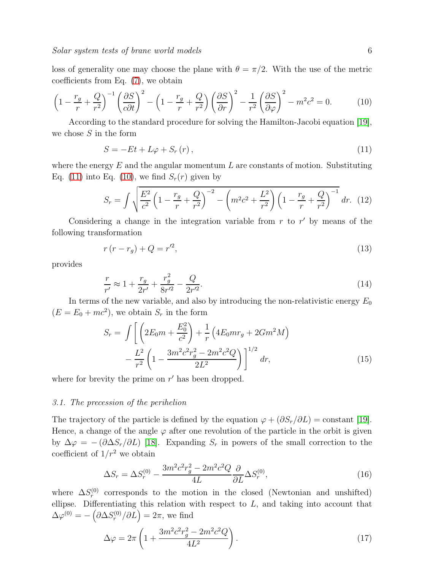loss of generality one may choose the plane with  $\theta = \pi/2$ . With the use of the metric coefficients from Eq. [\(7\)](#page-4-1), we obtain

$$
\left(1 - \frac{r_g}{r} + \frac{Q}{r^2}\right)^{-1} \left(\frac{\partial S}{c\partial t}\right)^2 - \left(1 - \frac{r_g}{r} + \frac{Q}{r^2}\right) \left(\frac{\partial S}{\partial r}\right)^2 - \frac{1}{r^2} \left(\frac{\partial S}{\partial \varphi}\right)^2 - m^2 c^2 = 0. \tag{10}
$$

According to the standard procedure for solving the Hamilton-Jacobi equation [\[19\]](#page-13-8), we chose  $S$  in the form

<span id="page-5-1"></span><span id="page-5-0"></span>
$$
S = -Et + L\varphi + S_r(r), \qquad (11)
$$

where the energy  $E$  and the angular momentum  $L$  are constants of motion. Substituting Eq. [\(11\)](#page-5-0) into Eq. [\(10\)](#page-5-1), we find  $S_r(r)$  given by

$$
S_r = \int \sqrt{\frac{E^2}{c^2} \left(1 - \frac{r_g}{r} + \frac{Q}{r^2}\right)^{-2} - \left(m^2 c^2 + \frac{L^2}{r^2}\right) \left(1 - \frac{r_g}{r} + \frac{Q}{r^2}\right)^{-1}} dr. (12)
$$

Considering a change in the integration variable from  $r$  to  $r'$  by means of the following transformation

<span id="page-5-2"></span>
$$
r(r - r_g) + Q = r^2,\tag{13}
$$

provides

<span id="page-5-3"></span>
$$
\frac{r}{r'} \approx 1 + \frac{r_g}{2r'} + \frac{r_g^2}{8r'^2} - \frac{Q}{2r'^2}.
$$
\n(14)

In terms of the new variable, and also by introducing the non-relativistic energy  $E_0$  $(E = E_0 + mc^2)$ , we obtain  $S_r$  in the form

$$
S_r = \int \left[ \left( 2E_0 m + \frac{E_0^2}{c^2} \right) + \frac{1}{r} \left( 4E_0 m r_g + 2Gm^2 M \right) - \frac{L^2}{r^2} \left( 1 - \frac{3m^2 c^2 r_g^2 - 2m^2 c^2 Q}{2L^2} \right) \right]^{1/2} dr, \tag{15}
$$

where for brevity the prime on  $r'$  has been dropped.

## 3.1. The precession of the perihelion

The trajectory of the particle is defined by the equation  $\varphi + (\partial S_r/\partial L) = \text{constant}$  [\[19\]](#page-13-8). Hence, a change of the angle  $\varphi$  after one revolution of the particle in the orbit is given by  $\Delta \varphi = - (\partial \Delta S_r / \partial L)$  [\[18\]](#page-13-7). Expanding  $S_r$  in powers of the small correction to the coefficient of  $1/r^2$  we obtain

$$
\Delta S_r = \Delta S_r^{(0)} - \frac{3m^2c^2r_g^2 - 2m^2c^2Q}{4L}\frac{\partial}{\partial L}\Delta S_r^{(0)},\tag{16}
$$

where  $\Delta S_r^{(0)}$  corresponds to the motion in the closed (Newtonian and unshifted) ellipse. Differentiating this relation with respect to  $L$ , and taking into account that  $\Delta\varphi^{(0)} = -\left(\partial\Delta S_r^{(0)}/\partial L\right) = 2\pi$ , we find

$$
\Delta \varphi = 2\pi \left( 1 + \frac{3m^2c^2r_g^2 - 2m^2c^2Q}{4L^2} \right). \tag{17}
$$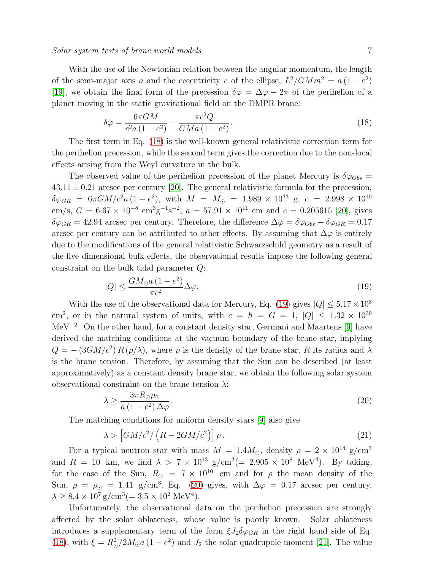#### Solar system tests of brane world models 7

With the use of the Newtonian relation between the angular momentum, the length of the semi-major axis a and the eccentricity e of the ellipse,  $L^2/GMm^2 = a(1-e^2)$ [\[19\]](#page-13-8), we obtain the final form of the precession  $\delta\varphi = \Delta\varphi - 2\pi$  of the perihelion of a planet moving in the static gravitational field on the DMPR brane:

<span id="page-6-0"></span>
$$
\delta\varphi = \frac{6\pi GM}{c^2 a \left(1 - e^2\right)} - \frac{\pi c^2 Q}{GM a \left(1 - e^2\right)}.\tag{18}
$$

The first term in Eq. [\(18\)](#page-6-0) is the well-known general relativistic correction term for the perihelion precession, while the second term gives the correction due to the non-local effects arising from the Weyl curvature in the bulk.

The observed value of the perihelion precession of the planet Mercury is  $\delta\varphi_{Obs}$  =  $43.11 \pm 0.21$  arcsec per century [\[20\]](#page-13-9). The general relativistic formula for the precession,  $\delta\varphi_{GR}$  = 6 $\pi GM/c^2 a (1-e^2)$ , with  $M = M_{\odot} = 1.989 \times 10^{33}$  g,  $c = 2.998 \times 10^{10}$ cm/s,  $G = 6.67 \times 10^{-8} \text{ cm}^3 \text{g}^{-1} \text{s}^{-2}$ ,  $a = 57.91 \times 10^{11} \text{ cm}$  and  $e = 0.205615$  [\[20\]](#page-13-9), gives  $\delta\varphi_{GR} = 42.94$  arcsec per century. Therefore, the difference  $\Delta\varphi = \delta\varphi_{Obs} - \delta\varphi_{GR} = 0.17$ arcsec per century can be attributed to other effects. By assuming that  $\Delta\varphi$  is entirely due to the modifications of the general relativistic Schwarzschild geometry as a result of the five dimensional bulk effects, the observational results impose the following general constraint on the bulk tidal parameter Q:

<span id="page-6-1"></span>
$$
|Q| \le \frac{GM_{\odot}a\left(1 - e^2\right)}{\pi c^2} \Delta \varphi. \tag{19}
$$

With the use of the observational data for Mercury, Eq. [\(19\)](#page-6-1) gives  $|Q| \leq 5.17 \times 10^8$ cm<sup>2</sup>, or in the natural system of units, with  $c = \hbar = G = 1$ ,  $|Q| \leq 1.32 \times 10^{30}$ MeV−<sup>2</sup> . On the other hand, for a constant density star, Germani and Maartens [\[9\]](#page-12-8) have derived the matching conditions at the vacuum boundary of the brane star, implying  $Q = -\left(3GM/c^2\right)R\left(\rho/\lambda\right)$ , where  $\rho$  is the density of the brane star, R its radius and  $\lambda$ is the brane tension. Therefore, by assuming that the Sun can be described (at least approximatively) as a constant density brane star, we obtain the following solar system observational constraint on the brane tension  $\lambda$ :

<span id="page-6-2"></span>
$$
\lambda \ge \frac{3\pi R_{\odot}\rho_{\odot}}{a\left(1 - e^2\right)\Delta\varphi}.\tag{20}
$$

The matching conditions for uniform density stars [\[9\]](#page-12-8) also give

$$
\lambda > \left[ GM/c^2 / \left( R - 2GM/c^2 \right) \right] \rho. \tag{21}
$$

For a typical neutron star with mass  $M = 1.4 M_{\odot}$ , density  $\rho = 2 \times 10^{14}$  g/cm<sup>3</sup> and  $R = 10$  km, we find  $\lambda > 7 \times 10^{13}$  g/cm<sup>3</sup>(= 2.905 × 10<sup>8</sup> MeV<sup>4</sup>). By taking, for the case of the Sun,  $R_{\odot}$  = 7 × 10<sup>10</sup> cm and for  $\rho$  the mean density of the Sun,  $\rho = \rho_{\odot} = 1.41$  g/cm<sup>3</sup>, Eq. [\(20\)](#page-6-2) gives, with  $\Delta \varphi = 0.17$  arcsec per century,  $\lambda \geq 8.4 \times 10^7$  g/cm<sup>3</sup>(= 3.5 × 10<sup>2</sup> MeV<sup>4</sup>).

Unfortunately, the observational data on the perihelion precession are strongly affected by the solar oblateness, whose value is poorly known. Solar oblateness introduces a supplementary term of the form  $\xi J_2 \delta \varphi_{GR}$  in the right hand side of Eq. [\(18\)](#page-6-0), with  $\xi = R_{\odot}^2 / 2M_{\odot} a (1 - e^2)$  and  $J_2$  the solar quadrupole moment [\[21\]](#page-13-10). The value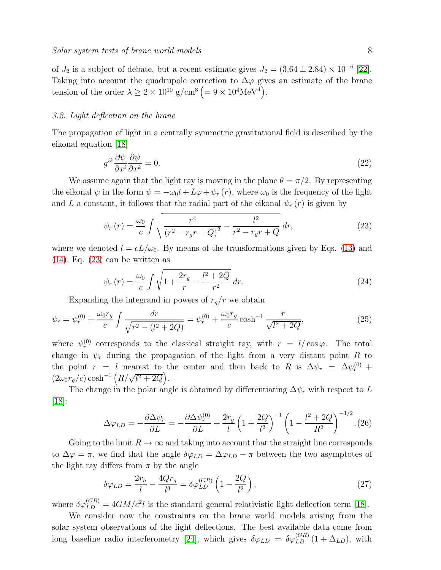of  $J_2$  is a subject of debate, but a recent estimate gives  $J_2 = (3.64 \pm 2.84) \times 10^{-6}$  [\[22\]](#page-13-11). Taking into account the quadrupole correction to  $\Delta\varphi$  gives an estimate of the brane tension of the order  $\lambda \ge 2 \times 10^{10}$  g/cm<sup>3</sup> (= 9 × 10<sup>4</sup>MeV<sup>4</sup>).

# 3.2. Light deflection on the brane

The propagation of light in a centrally symmetric gravitational field is described by the eikonal equation [\[18\]](#page-13-7)

$$
g^{ik}\frac{\partial\psi}{\partial x^i}\frac{\partial\psi}{\partial x^k} = 0.\tag{22}
$$

We assume again that the light ray is moving in the plane  $\theta = \pi/2$ . By representing the eikonal  $\psi$  in the form  $\psi = -\omega_0 t + L\varphi + \psi_r(r)$ , where  $\omega_0$  is the frequency of the light and L a constant, it follows that the radial part of the eikonal  $\psi_r(r)$  is given by

<span id="page-7-0"></span>
$$
\psi_r(r) = \frac{\omega_0}{c} \int \sqrt{\frac{r^4}{(r^2 - r_g r + Q)^2} - \frac{l^2}{r^2 - r_g r + Q}} \, dr,\tag{23}
$$

where we denoted  $l = cL/\omega_0$ . By means of the transformations given by Eqs. [\(13\)](#page-5-2) and  $(14)$ , Eq.  $(23)$  can be written as

$$
\psi_r(r) = \frac{\omega_0}{c} \int \sqrt{1 + \frac{2r_g}{r} - \frac{l^2 + 2Q}{r^2}} \, dr. \tag{24}
$$

Expanding the integrand in powers of  $r_q/r$  we obtain

$$
\psi_r = \psi_r^{(0)} + \frac{\omega_0 r_g}{c} \int \frac{dr}{\sqrt{r^2 - (l^2 + 2Q)}} = \psi_r^{(0)} + \frac{\omega_0 r_g}{c} \cosh^{-1} \frac{r}{\sqrt{l^2 + 2Q}},\tag{25}
$$

where  $\psi_r^{(0)}$  corresponds to the classical straight ray, with  $r = l/\cos\varphi$ . The total change in  $\psi_r$  during the propagation of the light from a very distant point R to the point  $r = l$  nearest to the center and then back to R is  $\Delta \psi_r = \Delta \psi_r^{(0)} + \psi_r^{(0)}$  $\left(2\omega_0 r_g/c\right) \cosh^{-1}\left(R/\sqrt{l^2+2Q}\right).$ 

The change in the polar angle is obtained by differentiating  $\Delta \psi_r$  with respect to L  $|18|$ :

$$
\Delta\varphi_{LD} = -\frac{\partial \Delta\psi_r}{\partial L} = -\frac{\partial \Delta\psi_r^{(0)}}{\partial L} + \frac{2r_g}{l} \left(1 + \frac{2Q}{l^2}\right)^{-1} \left(1 - \frac{l^2 + 2Q}{R^2}\right)^{-1/2}.
$$
(26)

Going to the limit  $R \to \infty$  and taking into account that the straight line corresponds to  $\Delta \varphi = \pi$ , we find that the angle  $\delta \varphi_{LD} = \Delta \varphi_{LD} - \pi$  between the two asymptotes of the light ray differs from  $\pi$  by the angle

$$
\delta\varphi_{LD} = \frac{2r_g}{l} - \frac{4Qr_g}{l^3} = \delta\varphi_{LD}^{(GR)} \left( 1 - \frac{2Q}{l^2} \right),\tag{27}
$$

where  $\delta\varphi_{LD}^{(GR)} = 4GM/c^2l$  is the standard general relativistic light deflection term [\[18\]](#page-13-7).

We consider now the constraints on the brane world models arising from the solar system observations of the light deflections. The best available data come from long baseline radio interferometry [\[24\]](#page-13-12), which gives  $\delta\varphi_{LD} = \delta\varphi_{LD}^{(GR)}(1 + \Delta_{LD})$ , with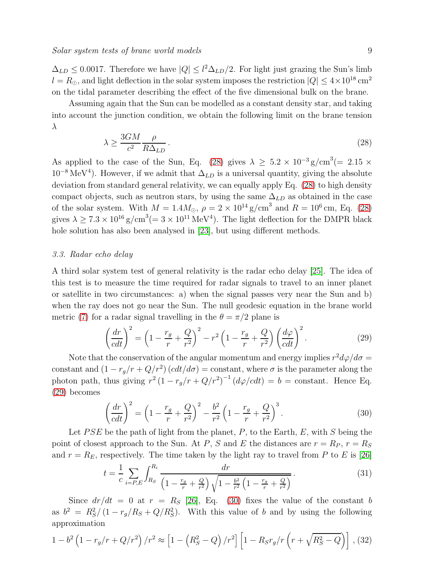$\Delta_{LD} \leq 0.0017$ . Therefore we have  $|Q| \leq l^2 \Delta_{LD}/2$ . For light just grazing the Sun's limb  $l = R_{\odot}$ , and light deflection in the solar system imposes the restriction  $|Q| \leq 4 \times 10^{18}$  cm<sup>2</sup> on the tidal parameter describing the effect of the five dimensional bulk on the brane.

Assuming again that the Sun can be modelled as a constant density star, and taking into account the junction condition, we obtain the following limit on the brane tension λ

<span id="page-8-0"></span>
$$
\lambda \ge \frac{3GM}{c^2} \frac{\rho}{R\Delta_{LD}}.\tag{28}
$$

As applied to the case of the Sun, Eq. [\(28\)](#page-8-0) gives  $\lambda \geq 5.2 \times 10^{-3}$  g/cm<sup>3</sup>(= 2.15 ×  $10^{-8}$  MeV<sup>4</sup>). However, if we admit that  $\Delta_{LD}$  is a universal quantity, giving the absolute deviation from standard general relativity, we can equally apply Eq. [\(28\)](#page-8-0) to high density compact objects, such as neutron stars, by using the same  $\Delta_{LD}$  as obtained in the case of the solar system. With  $M = 1.4 M_{\odot}$ ,  $\rho = 2 \times 10^{14} \text{ g/cm}^3$  and  $R = 10^6 \text{ cm}$ , Eq. [\(28\)](#page-8-0) gives  $\lambda \geq 7.3 \times 10^{16}$  g/cm<sup>3</sup>(= 3 × 10<sup>11</sup> MeV<sup>4</sup>). The light deflection for the DMPR black hole solution has also been analysed in [\[23\]](#page-13-13), but using different methods.

# 3.3. Radar echo delay

A third solar system test of general relativity is the radar echo delay [\[25\]](#page-13-14). The idea of this test is to measure the time required for radar signals to travel to an inner planet or satellite in two circumstances: a) when the signal passes very near the Sun and b) when the ray does not go near the Sun. The null geodesic equation in the brane world metric [\(7\)](#page-4-1) for a radar signal travelling in the  $\theta = \pi/2$  plane is

<span id="page-8-1"></span>
$$
\left(\frac{dr}{cdt}\right)^2 = \left(1 - \frac{r_g}{r} + \frac{Q}{r^2}\right)^2 - r^2 \left(1 - \frac{r_g}{r} + \frac{Q}{r^2}\right) \left(\frac{d\varphi}{cdt}\right)^2.
$$
\n(29)

Note that the conservation of the angular momentum and energy implies  $r^2 d\varphi/d\sigma =$ constant and  $(1 - r_g/r + Q/r^2)(cdt/d\sigma) = \text{constant}$ , where  $\sigma$  is the parameter along the photon path, thus giving  $r^2(1 - r_g/r + Q/r^2)^{-1} (d\varphi/cdt) = b = \text{constant}$ . Hence Eq. [\(29\)](#page-8-1) becomes

<span id="page-8-2"></span>
$$
\left(\frac{dr}{cdt}\right)^2 = \left(1 - \frac{r_g}{r} + \frac{Q}{r^2}\right)^2 - \frac{b^2}{r^2} \left(1 - \frac{r_g}{r} + \frac{Q}{r^2}\right)^3.
$$
\n(30)

Let  $PSE$  be the path of light from the planet, P, to the Earth, E, with S being the point of closest approach to the Sun. At P, S and E the distances are  $r = R_P$ ,  $r = R_S$ and  $r = R_E$ , respectively. The time taken by the light ray to travel from P to E is [\[26\]](#page-13-15)

$$
t = \frac{1}{c} \sum_{i=P,E} \int_{R_S}^{R_i} \frac{dr}{\left(1 - \frac{r_g}{r} + \frac{Q}{r^2}\right) \sqrt{1 - \frac{b^2}{r^2} \left(1 - \frac{r_g}{r} + \frac{Q}{r^2}\right)}}.
$$
(31)

Since  $dr/dt = 0$  at  $r = R_s$  [\[26\]](#page-13-15), Eq. [\(30\)](#page-8-2) fixes the value of the constant b as  $b^2 = R_S^2/(1 - r_g/R_S + Q/R_S^2)$ . With this value of b and by using the following approximation

$$
1 - b^2 \left( 1 - r_g/r + Q/r^2 \right) / r^2 \approx \left[ 1 - \left( R_S^2 - Q \right) / r^2 \right] \left[ 1 - R_S r_g / r \left( r + \sqrt{R_S^2 - Q} \right) \right] , (32)
$$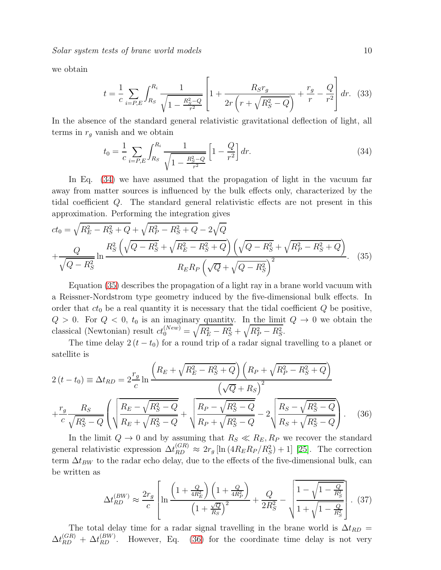Solar system tests of brane world models 10

we obtain

$$
t = \frac{1}{c} \sum_{i=P,E} \int_{R_S}^{R_i} \frac{1}{\sqrt{1 - \frac{R_S^2 - Q}{r^2}}} \left[ 1 + \frac{R_S r_g}{2r \left( r + \sqrt{R_S^2 - Q} \right)} + \frac{r_g}{r} - \frac{Q}{r^2} \right] dr. \tag{33}
$$

In the absence of the standard general relativistic gravitational deflection of light, all terms in  $r<sub>g</sub>$  vanish and we obtain

<span id="page-9-0"></span>
$$
t_0 = \frac{1}{c} \sum_{i=P,E} \int_{R_S}^{R_i} \frac{1}{\sqrt{1 - \frac{R_S^2 - Q}{r^2}}} \left[ 1 - \frac{Q}{r^2} \right] dr.
$$
 (34)

In Eq. [\(34\)](#page-9-0) we have assumed that the propagation of light in the vacuum far away from matter sources is influenced by the bulk effects only, characterized by the tidal coefficient Q. The standard general relativistic effects are not present in this approximation. Performing the integration gives

<span id="page-9-1"></span>
$$
ct_0 = \sqrt{R_E^2 - R_S^2 + Q} + \sqrt{R_P^2 - R_S^2 + Q} - 2\sqrt{Q}
$$
  
+ 
$$
\frac{Q}{\sqrt{Q - R_S^2}} \ln \frac{R_S^2 \left(\sqrt{Q - R_S^2} + \sqrt{R_E^2 - R_S^2 + Q}\right) \left(\sqrt{Q - R_S^2} + \sqrt{R_P^2 - R_S^2 + Q}\right)}{R_E R_P \left(\sqrt{Q} + \sqrt{Q - R_S^2}\right)^2}.
$$
 (35)

Equation [\(35\)](#page-9-1) describes the propagation of a light ray in a brane world vacuum with a Reissner-Nordstrom type geometry induced by the five-dimensional bulk effects. In order that  $ct_0$  be a real quantity it is necessary that the tidal coefficient  $Q$  be positive,  $Q > 0$ . For  $Q < 0$ ,  $t_0$  is an imaginary quantity. In the limit  $Q \rightarrow 0$  we obtain the classical (Newtonian) result  $ct_0^{(New)} = \sqrt{R_E^2 - R_S^2} + \sqrt{R_P^2 - R_S^2}$ .

The time delay  $2(t - t_0)$  for a round trip of a radar signal travelling to a planet or satellite is

<span id="page-9-2"></span>
$$
2(t - t_0) = \Delta t_{RD} = 2\frac{r_g}{c} \ln \frac{\left(R_E + \sqrt{R_E^2 - R_S^2 + Q}\right) \left(R_P + \sqrt{R_P^2 - R_S^2 + Q}\right)}{\left(\sqrt{Q} + R_S\right)^2} + \frac{r_g}{c} \frac{R_S}{\sqrt{R_S^2 - Q}} \left(\sqrt{\frac{R_E - \sqrt{R_S^2 - Q}}{R_E + \sqrt{R_S^2 - Q}}} + \sqrt{\frac{R_P - \sqrt{R_S^2 - Q}}{R_P + \sqrt{R_S^2 - Q}}} - 2\sqrt{\frac{R_S - \sqrt{R_S^2 - Q}}{R_S + \sqrt{R_S^2 - Q}}}\right).
$$
(36)

In the limit  $Q \to 0$  and by assuming that  $R_S \ll R_E, R_P$  we recover the standard general relativistic expression  $\Delta t_{RD}^{(GR)} \approx 2r_g [\ln(4R_E R_P/R_S^2) + 1]$  [\[25\]](#page-13-14). The correction term  $\Delta t_{BW}$  to the radar echo delay, due to the effects of the five-dimensional bulk, can be written as

$$
\Delta t_{RD}^{(BW)} \approx \frac{2r_g}{c} \left[ \ln \frac{\left(1 + \frac{Q}{4R_E^2}\right) \left(1 + \frac{Q}{4R_P^2}\right)}{\left(1 + \frac{\sqrt{Q}}{R_S}\right)^2} + \frac{Q}{2R_S^2} - \sqrt{\frac{1 - \sqrt{1 - \frac{Q}{R_S^2}}}{1 + \sqrt{1 - \frac{Q}{R_S^2}}}} \right].
$$
 (37)

The total delay time for a radar signal travelling in the brane world is  $\Delta t_{RD}$  =  $\Delta t_{RD}^{(GR)} + \Delta t_{RD}^{(BW)}$ . However, Eq. [\(36\)](#page-9-2) for the coordinate time delay is not very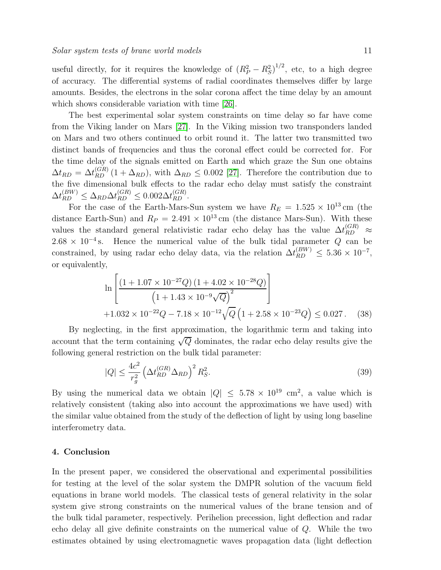useful directly, for it requires the knowledge of  $(R_P^2 - R_S^2)^{1/2}$ , etc, to a high degree of accuracy. The differential systems of radial coordinates themselves differ by large amounts. Besides, the electrons in the solar corona affect the time delay by an amount which shows considerable variation with time [\[26\]](#page-13-15).

The best experimental solar system constraints on time delay so far have come from the Viking lander on Mars [\[27\]](#page-13-16). In the Viking mission two transponders landed on Mars and two others continued to orbit round it. The latter two transmitted two distinct bands of frequencies and thus the coronal effect could be corrected for. For the time delay of the signals emitted on Earth and which graze the Sun one obtains  $\Delta t_{RD} = \Delta t_{RD}^{(GR)} (1 + \Delta_{RD})$ , with  $\Delta_{RD} \leq 0.002$  [\[27\]](#page-13-16). Therefore the contribution due to the five dimensional bulk effects to the radar echo delay must satisfy the constraint  $\Delta t_{RD}^{(BW)} \leq \Delta_{RD} \Delta t_{RD}^{(GR)} \leq 0.002 \Delta t_{RD}^{(GR)}$ .

For the case of the Earth-Mars-Sun system we have  $R_E = 1.525 \times 10^{13}$  cm (the distance Earth-Sun) and  $R_P = 2.491 \times 10^{13}$  cm (the distance Mars-Sun). With these values the standard general relativistic radar echo delay has the value  $\Delta t_{RD}^{(GR)} \approx$  $2.68 \times 10^{-4}$  s. Hence the numerical value of the bulk tidal parameter Q can be constrained, by using radar echo delay data, via the relation  $\Delta t_{RD}^{(BW)} \leq 5.36 \times 10^{-7}$ , or equivalently,

$$
\ln\left[\frac{(1+1.07\times10^{-27}Q)(1+4.02\times10^{-28}Q)}{(1+1.43\times10^{-9}\sqrt{Q})^2}\right] + 1.032\times10^{-22}Q - 7.18\times10^{-12}\sqrt{Q}\left(1+2.58\times10^{-23}Q\right) \le 0.027. \quad (38)
$$

By neglecting, in the first approximation, the logarithmic term and taking into account that the term containing  $\sqrt{Q}$  dominates, the radar echo delay results give the following general restriction on the bulk tidal parameter:

$$
|Q| \le \frac{4c^2}{r_g^2} \left(\Delta t_{RD}^{(GR)} \Delta_{RD}\right)^2 R_S^2. \tag{39}
$$

By using the numerical data we obtain  $|Q| \leq 5.78 \times 10^{19}$  cm<sup>2</sup>, a value which is relatively consistent (taking also into account the approximations we have used) with the similar value obtained from the study of the deflection of light by using long baseline interferometry data.

# <span id="page-10-0"></span>4. Conclusion

In the present paper, we considered the observational and experimental possibilities for testing at the level of the solar system the DMPR solution of the vacuum field equations in brane world models. The classical tests of general relativity in the solar system give strong constraints on the numerical values of the brane tension and of the bulk tidal parameter, respectively. Perihelion precession, light deflection and radar echo delay all give definite constraints on the numerical value of Q. While the two estimates obtained by using electromagnetic waves propagation data (light deflection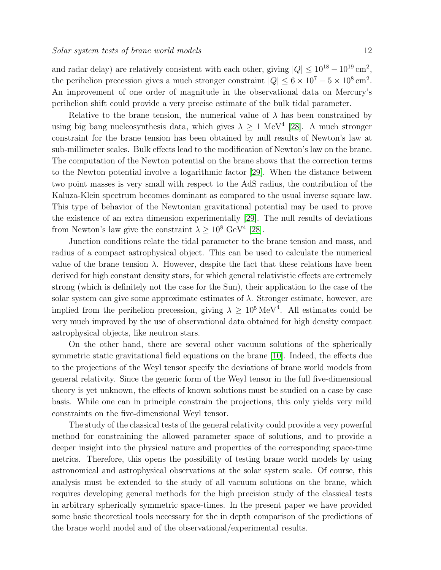and radar delay) are relatively consistent with each other, giving  $|Q| \leq 10^{18} - 10^{19}$  cm<sup>2</sup>, the perihelion precession gives a much stronger constraint  $|Q| \leq 6 \times 10^7 - 5 \times 10^8 \text{ cm}^2$ . An improvement of one order of magnitude in the observational data on Mercury's perihelion shift could provide a very precise estimate of the bulk tidal parameter.

Relative to the brane tension, the numerical value of  $\lambda$  has been constrained by using big bang nucleosynthesis data, which gives  $\lambda \geq 1$  MeV<sup>4</sup> [\[28\]](#page-13-17). A much stronger constraint for the brane tension has been obtained by null results of Newton's law at sub-millimeter scales. Bulk effects lead to the modification of Newton's law on the brane. The computation of the Newton potential on the brane shows that the correction terms to the Newton potential involve a logarithmic factor [\[29\]](#page-13-18). When the distance between two point masses is very small with respect to the AdS radius, the contribution of the Kaluza-Klein spectrum becomes dominant as compared to the usual inverse square law. This type of behavior of the Newtonian gravitational potential may be used to prove the existence of an extra dimension experimentally [\[29\]](#page-13-18). The null results of deviations from Newton's law give the constraint  $\lambda \geq 10^8$  GeV<sup>4</sup> [\[28\]](#page-13-17).

Junction conditions relate the tidal parameter to the brane tension and mass, and radius of a compact astrophysical object. This can be used to calculate the numerical value of the brane tension  $\lambda$ . However, despite the fact that these relations have been derived for high constant density stars, for which general relativistic effects are extremely strong (which is definitely not the case for the Sun), their application to the case of the solar system can give some approximate estimates of  $\lambda$ . Stronger estimate, however, are implied from the perihelion precession, giving  $\lambda \geq 10^5 \,\text{MeV}^4$ . All estimates could be very much improved by the use of observational data obtained for high density compact astrophysical objects, like neutron stars.

On the other hand, there are several other vacuum solutions of the spherically symmetric static gravitational field equations on the brane [\[10\]](#page-12-9). Indeed, the effects due to the projections of the Weyl tensor specify the deviations of brane world models from general relativity. Since the generic form of the Weyl tensor in the full five-dimensional theory is yet unknown, the effects of known solutions must be studied on a case by case basis. While one can in principle constrain the projections, this only yields very mild constraints on the five-dimensional Weyl tensor.

The study of the classical tests of the general relativity could provide a very powerful method for constraining the allowed parameter space of solutions, and to provide a deeper insight into the physical nature and properties of the corresponding space-time metrics. Therefore, this opens the possibility of testing brane world models by using astronomical and astrophysical observations at the solar system scale. Of course, this analysis must be extended to the study of all vacuum solutions on the brane, which requires developing general methods for the high precision study of the classical tests in arbitrary spherically symmetric space-times. In the present paper we have provided some basic theoretical tools necessary for the in depth comparison of the predictions of the brane world model and of the observational/experimental results.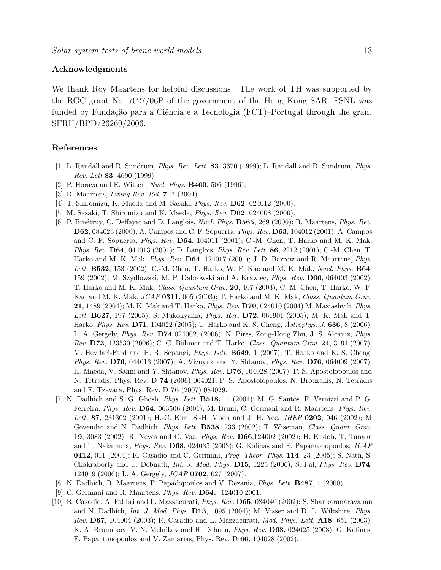# Acknowledgments

We thank Roy Maartens for helpful discussions. The work of TH was supported by the RGC grant No. 7027/06P of the government of the Hong Kong SAR. FSNL was funded by Fundação para a Ciência e a Tecnologia (FCT)–Portugal through the grant SFRH/BPD/26269/2006.

# <span id="page-12-0"></span>References

- <span id="page-12-1"></span>[1] L. Randall and R. Sundrum, Phys. Rev. Lett. 83, 3370 (1999); L. Randall and R. Sundrum, Phys. Rev. Lett 83, 4690 (1999).
- <span id="page-12-2"></span>[2] P. Horava and E. Witten, Nucl. Phys. B460, 506 (1996).
- <span id="page-12-3"></span>[3] R. Maartens, Living Rev. Rel. 7, 7 (2004).
- <span id="page-12-4"></span>[4] T. Shiromizu, K. Maeda and M. Sasaki, *Phys. Rev.* **D62**, 024012 (2000).
- <span id="page-12-5"></span>[5] M. Sasaki, T. Shiromizu and K. Maeda, Phys. Rev. D62, 024008 (2000).
- [6] P. Binétruy, C. Deffayet and D. Langlois, *Nucl. Phys.* **B565**, 269 (2000); R. Maartens, *Phys. Rev.* D62, 084023 (2000); A. Campos and C. F. Sopuerta, Phys. Rev. D63, 104012 (2001); A. Campos and C. F. Sopuerta, Phys. Rev. D64, 104011 (2001); C.-M. Chen, T. Harko and M. K. Mak, Phys. Rev. D64, 044013 (2001); D. Langlois, Phys. Rev. Lett. 86, 2212 (2001); C.-M. Chen, T. Harko and M. K. Mak, Phys. Rev. D64, 124017 (2001); J. D. Barrow and R. Maartens, Phys. Lett. **B532**, 153 (2002); C.-M. Chen, T. Harko, W. F. Kao and M. K. Mak, *Nucl. Phys.* **B64**, 159 (2002); M. Szydlowski, M. P. Dabrowski and A. Krawiec, Phys. Rev. D66, 064003 (2002); T. Harko and M. K. Mak, Class. Quantum Grav. 20, 407 (2003); C.-M. Chen, T. Harko, W. F. Kao and M. K. Mak,  $JCAP$  0311, 005 (2003); T. Harko and M. K. Mak, Class. Quantum Grav. 21, 1489 (2004); M. K. Mak and T. Harko, Phys. Rev. D70, 024010 (2004) M. Maziashvili, Phys. Lett. **B627**, 197 (2005); S. Mukohyama, *Phys. Rev.* **D72**, 061901 (2005); M. K. Mak and T. Harko, *Phys. Rev.* **D71**, 104022 (2005); T. Harko and K. S. Cheng, *Astrophys. J.* **636**, 8 (2006); L. A. Gergely, Phys. Rev. D74 024002, (2006); N. Pires, Zong-Hong Zhu, J. S. Alcaniz, Phys. Rev. D73, 123530 (2006); C. G. Böhmer and T. Harko, Class. Quantum Grav. 24, 3191 (2007); M. Heydari-Fard and H. R. Sepangi, *Phys. Lett.* **B649**, 1 (2007); T. Harko and K. S. Cheng, Phys. Rev. D76, 044013 (2007); A. Viznyuk and Y. Shtanov, Phys. Rev. D76, 064009 (2007); H. Maeda, V. Sahni and Y. Shtanov, Phys. Rev. D76, 104028 (2007); P. S. Apostolopoulos and N. Tetradis, Phys. Rev. D 74 (2006) 064021; P. S. Apostolopoulos, N. Brouzakis, N. Tetradis and E. Tzavara, Phys. Rev. D 76 (2007) 084029.
- <span id="page-12-6"></span>[7] N. Dadhich and S. G. Ghosh, Phys. Lett. B518, 1 (2001); M. G. Santos, F. Vernizzi and P. G. Ferreira, Phys. Rev. D64, 063506 (2001); M. Bruni, C. Germani and R. Maartens, Phys. Rev. Lett. 87, 231302 (2001); H.-C. Kim, S.-H. Moon and J. H. Yee, *JHEP* 0202, 046 (2002); M Govender and N. Dadhich, *Phys. Lett.* **B538**, 233 (2002); T. Wiseman, Class. Quant. Grav. 19, 3083 (2002); R. Neves and C. Vaz, Phys. Rev. D66,124002 (2002); H. Kudoh, T. Tanaka and T. Nakamura, Phys. Rev. D68, 024035 (2003); G. Kofinas and E. Papantonopoulos, JCAP 0412, 011 (2004); R. Casadio and C. Germani, Prog. Theor. Phys. 114, 23 (2005); S. Nath, S. Chakraborty and U. Debnath, Int. J. Mod. Phys. D15, 1225 (2006); S. Pal, Phys. Rev. D74, 124019 (2006); L. A. Gergely, JCAP 0702, 027 (2007).
- <span id="page-12-8"></span><span id="page-12-7"></span>[8] N. Dadhich, R. Maartens, P. Papadopoulos and V. Rezania, Phys. Lett. B487, 1 (2000).
- <span id="page-12-9"></span>[9] C. Germani and R. Maartens, Phys. Rev. D64, 124010 2001.
- [10] R. Casadio, A. Fabbri and L. Mazzacurati, Phys. Rev. D65, 084040 (2002); S. Shankaranarayanan and N. Dadhich, Int. J. Mod. Phys. D13, 1095 (2004); M. Visser and D. L. Wiltshire, Phys. Rev. **D67**, 104004 (2003); R. Casadio and L. Mazzacurati, *Mod. Phys. Lett.* **A18**, 651 (2003); K. A. Bronnikov, V. N. Melnikov and H. Dehnen, Phys. Rev. D68, 024025 (2003); G. Kofinas, E. Papantonopoulos and V. Zamarias, Phys. Rev. D 66, 104028 (2002).